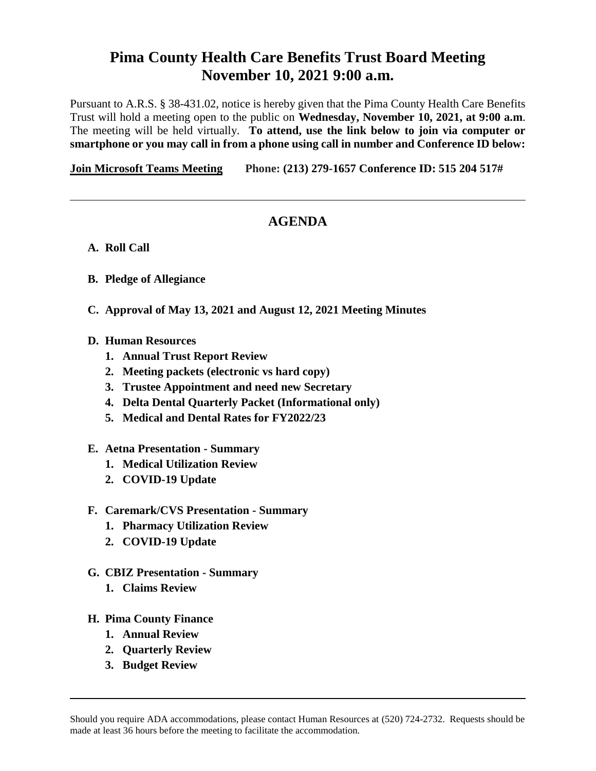## **Pima County Health Care Benefits Trust Board Meeting November 10, 2021 9:00 a.m.**

Pursuant to A.R.S. § 38-431.02, notice is hereby given that the Pima County Health Care Benefits Trust will hold a meeting open to the public on **Wednesday, November 10, 2021, at 9:00 a.m**. The meeting will be held virtually. **To attend, use the link below to join via computer or smartphone or you may call in from a phone using call in number and Conference ID below:**

**[Join Microsoft Teams Meeting](https://teams.microsoft.com/l/meetup-join/19%3ameeting_YzVjOWYyY2YtZGFjYi00NTFhLTg2NjgtZmJhMmZiODkzYTZh%40thread.v2/0?context=%7b%22Tid%22%3a%2233b6e2c3-0b1a-4879-b741-47461a6c1a89%22%2c%22Oid%22%3a%227ed4e4fd-f9ef-401d-bf6e-514166f3d1be%22%7d) Phone: [\(213\) 279-1657](tel:+1%20213-279-1657,,519048937# ) Conference ID: 515 204 517#**

## **AGENDA**

- **A. Roll Call**
- **B. Pledge of Allegiance**
- **C. Approval of May 13, 2021 and August 12, 2021 Meeting Minutes**
- **D. Human Resources** 
	- **1. Annual Trust Report Review**
	- **2. Meeting packets (electronic vs hard copy)**
	- **3. Trustee Appointment and need new Secretary**
	- **4. Delta Dental Quarterly Packet (Informational only)**
	- **5. Medical and Dental Rates for FY2022/23**
- **E. Aetna Presentation - Summary**
	- **1. Medical Utilization Review**
	- **2. COVID-19 Update**
- **F. Caremark/CVS Presentation - Summary**
	- **1. Pharmacy Utilization Review**
	- **2. COVID-19 Update**
- **G. CBIZ Presentation - Summary**
	- **1. Claims Review**
- **H. Pima County Finance**
	- **1. Annual Review**
	- **2. Quarterly Review**
	- **3. Budget Review**